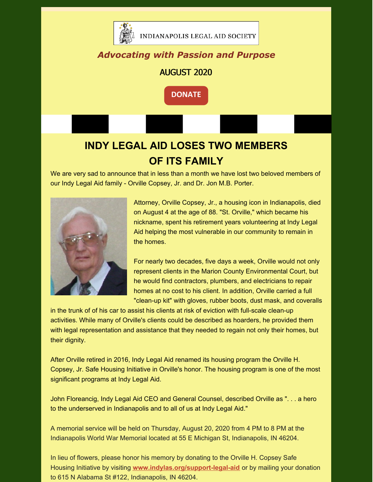

### *Advocating with Passion and Purpose*

#### AUGUST 2020

**[DONATE](https://www.indylas.org/support-legal-aid)**

# **INDY LEGAL AID LOSES TWO MEMBERS OF ITS FAMILY**

We are very sad to announce that in less than a month we have lost two beloved members of our Indy Legal Aid family - Orville Copsey, Jr. and Dr. Jon M.B. Porter.



Attorney, Orville Copsey, Jr., a housing icon in Indianapolis, died on August 4 at the age of 88. "St. Orville," which became his nickname, spent his retirement years volunteering at Indy Legal Aid helping the most vulnerable in our community to remain in the homes.

For nearly two decades, five days a week, Orville would not only represent clients in the Marion County Environmental Court, but he would find contractors, plumbers, and electricians to repair homes at no cost to his cIient. In addition, Orville carried a full "clean-up kit" with gloves, rubber boots, dust mask, and coveralls

in the trunk of of his car to assist his clients at risk of eviction with full-scale clean-up activities. While many of Orville's clients could be described as hoarders, he provided them with legal representation and assistance that they needed to regain not only their homes, but their dignity.

After Orville retired in 2016, Indy Legal Aid renamed its housing program the Orville H. Copsey, Jr. Safe Housing Initiative in Orville's honor. The housing program is one of the most significant programs at Indy Legal Aid.

John Floreancig, Indy Legal Aid CEO and General Counsel, described Orville as ". . . a hero to the underserved in Indianapolis and to all of us at Indy Legal Aid."

A memorial service will be held on Thursday, August 20, 2020 from 4 PM to 8 PM at the Indianapolis World War Memorial located at 55 E Michigan St, Indianapolis, IN 46204.

In lieu of flowers, please honor his memory by donating to the Orville H. Copsey Safe Housing Initiative by visiting **[www.indylas.org/support-legal-aid](http://www.indylas.org/support-legal-aid)** or by mailing your donation to 615 N Alabama St #122, Indianapolis, IN 46204.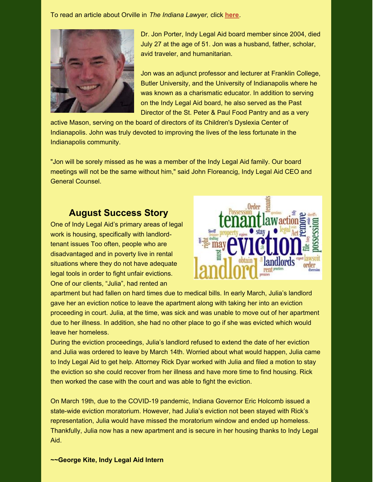To read an article about Orville in *The Indiana Lawyer,* click **[here](https://files.constantcontact.com/4eb83a9b701/4cbe6d34-035c-40ef-a086-aca0f41dea9d.pdf)**.



Dr. Jon Porter, Indy Legal Aid board member since 2004, died July 27 at the age of 51. Jon was a husband, father, scholar, avid traveler, and humanitarian.

Jon was an adjunct professor and lecturer at Franklin College, Butler University, and the University of Indianapolis where he was known as a charismatic educator. In addition to serving on the Indy Legal Aid board, he also served as the Past Director of the St. Peter & Paul Food Pantry and as a very

active Mason, serving on the board of directors of its Children's Dyslexia Center of Indianapolis. John was truly devoted to improving the lives of the less fortunate in the Indianapolis community.

"Jon will be sorely missed as he was a member of the Indy Legal Aid family. Our board meetings will not be the same without him," said John Floreancig, Indy Legal Aid CEO and General Counsel.

#### **August Success Story**

One of Indy Legal Aid's primary areas of legal work is housing, specifically with landlordtenant issues Too often, people who are disadvantaged and in poverty live in rental situations where they do not have adequate legal tools in order to fight unfair evictions. One of our clients, "Julia", had rented an



apartment but had fallen on hard times due to medical bills. In early March, Julia's landlord gave her an eviction notice to leave the apartment along with taking her into an eviction proceeding in court. Julia, at the time, was sick and was unable to move out of her apartment due to her illness. In addition, she had no other place to go if she was evicted which would leave her homeless.

During the eviction proceedings, Julia's landlord refused to extend the date of her eviction and Julia was ordered to leave by March 14th. Worried about what would happen, Julia came to Indy Legal Aid to get help. Attorney Rick Dyar worked with Julia and filed a motion to stay the eviction so she could recover from her illness and have more time to find housing. Rick then worked the case with the court and was able to fight the eviction.

On March 19th, due to the COVID-19 pandemic, Indiana Governor Eric Holcomb issued a state-wide eviction moratorium. However, had Julia's eviction not been stayed with Rick's representation, Julia would have missed the moratorium window and ended up homeless. Thankfully, Julia now has a new apartment and is secure in her housing thanks to Indy Legal Aid.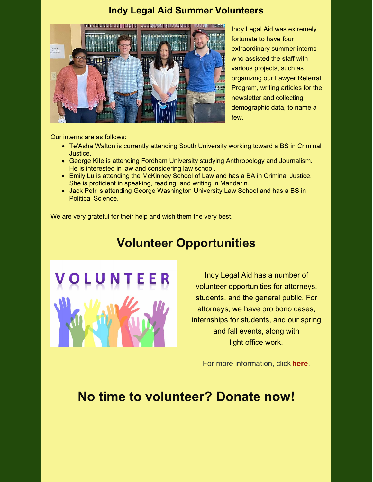### **Indy Legal Aid Summer Volunteers**



Indy Legal Aid was extremely fortunate to have four extraordinary summer interns who assisted the staff with various projects, such as organizing our Lawyer Referral Program, writing articles for the newsletter and collecting demographic data, to name a few.

Our interns are as follows:

- Te'Asha Walton is currently attending South University working toward a BS in Criminal Justice.
- George Kite is attending Fordham University studying Anthropology and Journalism. He is interested in law and considering law school.
- Emily Lu is attending the McKinney School of Law and has a BA in Criminal Justice. She is proficient in speaking, reading, and writing in Mandarin.
- Jack Petr is attending George Washington University Law School and has a BS in Political Science.

We are very grateful for their help and wish them the very best.

## **Volunteer Opportunities**



Indy Legal Aid has a number of volunteer opportunities for attorneys, students, and the general public. For attorneys, we have pro bono cases, internships for students, and our spring and fall events, along with light office work.

For more information, click **[here](https://www.indylas.org/volunteering)**[.](https://www.indylas.org/volunteering)

## **No time to volunteer? [Donate](https://interland3.donorperfect.net/weblink/weblink.aspx?name=E5192&id=1) now!**